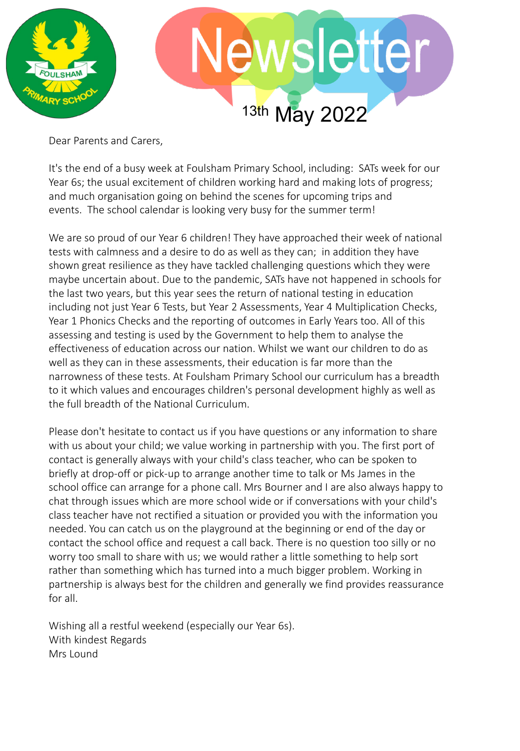

Dear Parents and Carers,

It's the end of a busy week at Foulsham Primary School, including: SATs week for our Year 6s; the usual excitement of children working hard and making lots of progress; and much organisation going on behind the scenes for upcoming trips and events. The school calendar is looking very busy for the summer term!

We are so proud of our Year 6 children! They have approached their week of national tests with calmness and a desire to do as well as they can; in addition they have shown great resilience as they have tackled challenging questions which they were maybe uncertain about. Due to the pandemic, SATs have not happened in schools for the last two years, but this year sees the return of national testing in education including not just Year 6 Tests, but Year 2 Assessments, Year 4 Multiplication Checks, Year 1 Phonics Checks and the reporting of outcomes in Early Years too. All of this assessing and testing is used by the Government to help them to analyse the effectiveness of education across our nation. Whilst we want our children to do as well as they can in these assessments, their education is far more than the narrowness of these tests. At Foulsham Primary School our curriculum has a breadth to it which values and encourages children's personal development highly as well as the full breadth of the National Curriculum.

Please don't hesitate to contact us if you have questions or any information to share with us about your child; we value working in partnership with you. The first port of contact is generally always with your child's class teacher, who can be spoken to briefly at drop-off or pick-up to arrange another time to talk or Ms James in the school office can arrange for a phone call. Mrs Bourner and I are also always happy to chat through issues which are more school wide or if conversations with your child's class teacher have not rectified a situation or provided you with the information you needed. You can catch us on the playground at the beginning or end of the day or contact the school office and request a call back. There is no question too silly or no worry too small to share with us; we would rather a little something to help sort rather than something which has turned into a much bigger problem. Working in partnership is always best for the children and generally we find provides reassurance for all.

Wishing all a restful weekend (especially our Year 6s). With kindest Regards Mrs Lound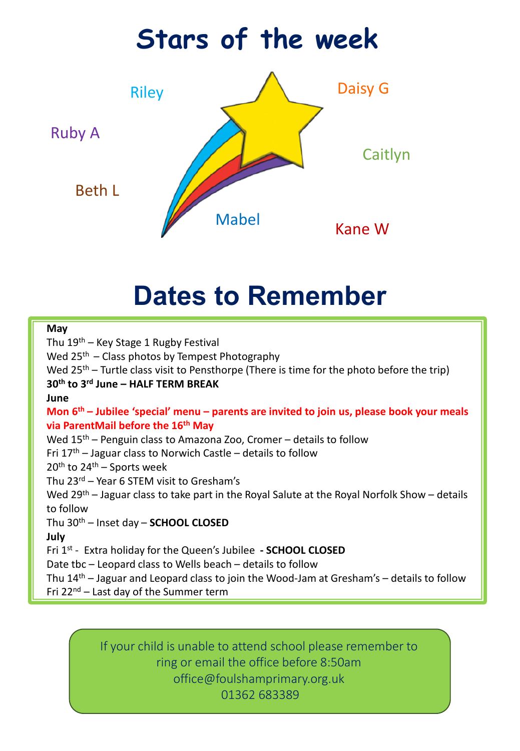### Daisy G Mabel Riley Kane W **Stars of the week** Caitlyn Beth L Ruby A

## **Dates to Remember**

#### **May**

Thu 19<sup>th</sup> – Key Stage 1 Rugby Festival Wed  $25<sup>th</sup>$  – Class photos by Tempest Photography Wed  $25<sup>th</sup>$  – Turtle class visit to Pensthorpe (There is time for the photo before the trip) **30th to 3rd June – HALF TERM BREAK June Mon 6th – Jubilee 'special' menu – parents are invited to join us, please book your meals via ParentMail before the 16th May** Wed 15<sup>th</sup> – Penguin class to Amazona Zoo, Cromer – details to follow Fri  $17<sup>th</sup>$  – Jaguar class to Norwich Castle – details to follow  $20<sup>th</sup>$  to  $24<sup>th</sup>$  – Sports week Thu 23rd – Year 6 STEM visit to Gresham's Wed 29<sup>th</sup> – Jaguar class to take part in the Royal Salute at the Royal Norfolk Show – details to follow Thu 30th – Inset day – **SCHOOL CLOSED July** Fri 1st - Extra holiday for the Queen's Jubilee **- SCHOOL CLOSED** Date tbc – Leopard class to Wells beach – details to follow Thu  $14<sup>th</sup>$  – Jaguar and Leopard class to join the Wood-Jam at Gresham's – details to follow Fri  $22^{nd}$  – Last day of the Summer term

> If your child is unable to attend school please remember to ring or email the office before 8:50am office@foulshamprimary.org.uk 01362 683389